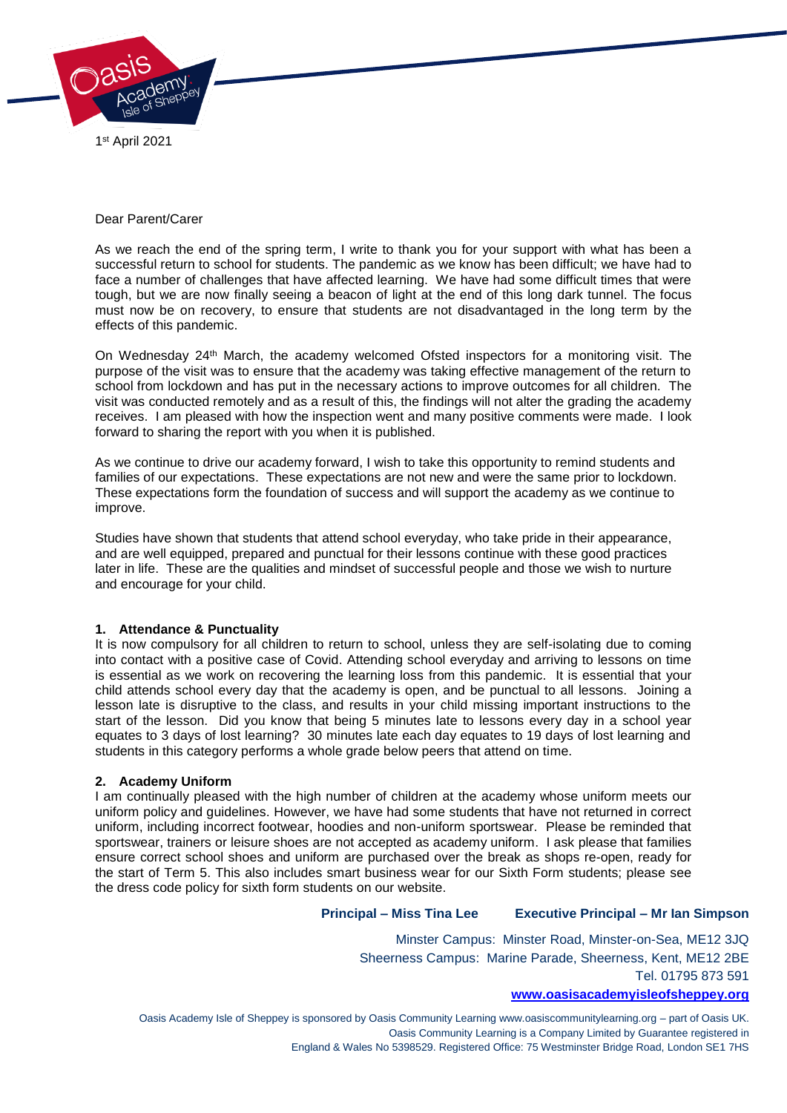

## Dear Parent/Carer

As we reach the end of the spring term, I write to thank you for your support with what has been a successful return to school for students. The pandemic as we know has been difficult; we have had to face a number of challenges that have affected learning. We have had some difficult times that were tough, but we are now finally seeing a beacon of light at the end of this long dark tunnel. The focus must now be on recovery, to ensure that students are not disadvantaged in the long term by the effects of this pandemic.

On Wednesday 24th March, the academy welcomed Ofsted inspectors for a monitoring visit. The purpose of the visit was to ensure that the academy was taking effective management of the return to school from lockdown and has put in the necessary actions to improve outcomes for all children. The visit was conducted remotely and as a result of this, the findings will not alter the grading the academy receives. I am pleased with how the inspection went and many positive comments were made. I look forward to sharing the report with you when it is published.

As we continue to drive our academy forward, I wish to take this opportunity to remind students and families of our expectations. These expectations are not new and were the same prior to lockdown. These expectations form the foundation of success and will support the academy as we continue to improve.

Studies have shown that students that attend school everyday, who take pride in their appearance, and are well equipped, prepared and punctual for their lessons continue with these good practices later in life. These are the qualities and mindset of successful people and those we wish to nurture and encourage for your child.

# **1. Attendance & Punctuality**

It is now compulsory for all children to return to school, unless they are self-isolating due to coming into contact with a positive case of Covid. Attending school everyday and arriving to lessons on time is essential as we work on recovering the learning loss from this pandemic. It is essential that your child attends school every day that the academy is open, and be punctual to all lessons. Joining a lesson late is disruptive to the class, and results in your child missing important instructions to the start of the lesson. Did you know that being 5 minutes late to lessons every day in a school year equates to 3 days of lost learning? 30 minutes late each day equates to 19 days of lost learning and students in this category performs a whole grade below peers that attend on time.

### **2. Academy Uniform**

I am continually pleased with the high number of children at the academy whose uniform meets our uniform policy and guidelines. However, we have had some students that have not returned in correct uniform, including incorrect footwear, hoodies and non-uniform sportswear. Please be reminded that sportswear, trainers or leisure shoes are not accepted as academy uniform. I ask please that families ensure correct school shoes and uniform are purchased over the break as shops re-open, ready for the start of Term 5. This also includes smart business wear for our Sixth Form students; please see the dress code policy for sixth form students on our website.

# **Principal – Miss Tina Lee Executive Principal – Mr Ian Simpson**

Minster Campus: Minster Road, Minster-on-Sea, ME12 3JQ Sheerness Campus: Marine Parade, Sheerness, Kent, ME12 2BE Tel. 01795 873 591

#### **[www.oasisacademyisleofsheppey.org](http://www.oasisacademyisleofsheppey.org/)**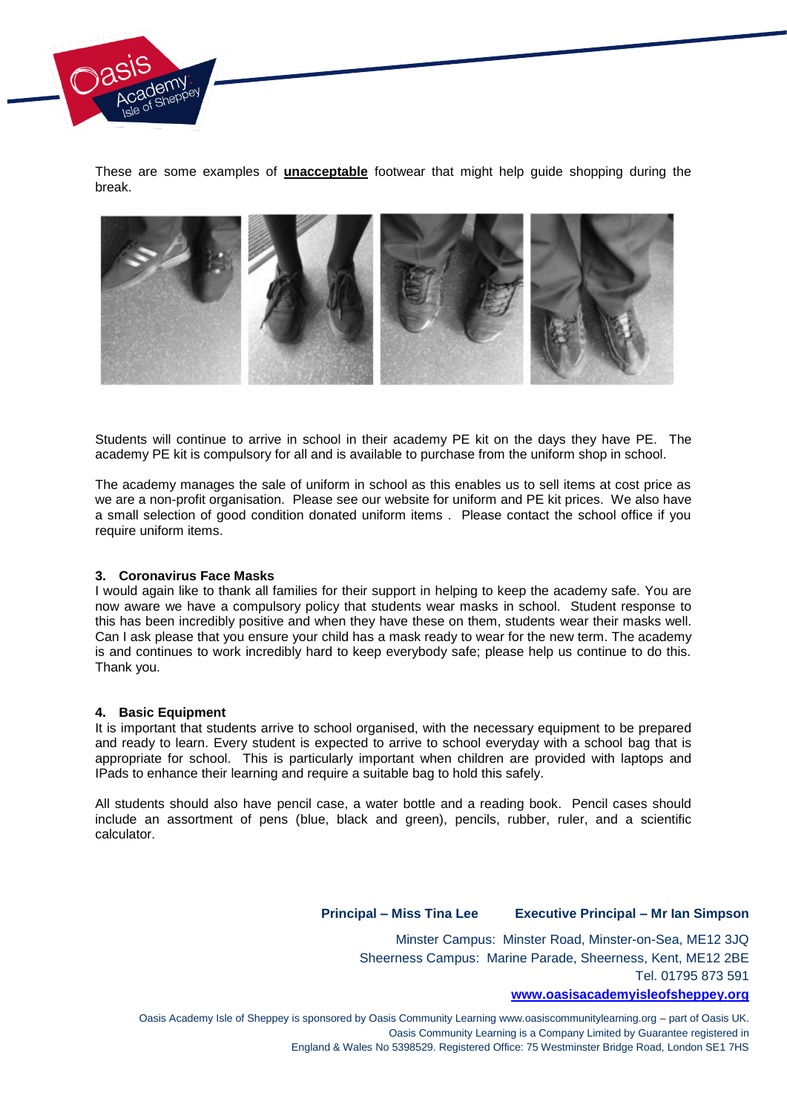

These are some examples of **unacceptable** footwear that might help guide shopping during the break.



Students will continue to arrive in school in their academy PE kit on the days they have PE. The academy PE kit is compulsory for all and is available to purchase from the uniform shop in school.

The academy manages the sale of uniform in school as this enables us to sell items at cost price as we are a non-profit organisation. Please see our website for uniform and PE kit prices. We also have a small selection of good condition donated uniform items . Please contact the school office if you require uniform items.

### **3. Coronavirus Face Masks**

I would again like to thank all families for their support in helping to keep the academy safe. You are now aware we have a compulsory policy that students wear masks in school. Student response to this has been incredibly positive and when they have these on them, students wear their masks well. Can I ask please that you ensure your child has a mask ready to wear for the new term. The academy is and continues to work incredibly hard to keep everybody safe; please help us continue to do this. Thank you.

### **4. Basic Equipment**

It is important that students arrive to school organised, with the necessary equipment to be prepared and ready to learn. Every student is expected to arrive to school everyday with a school bag that is appropriate for school. This is particularly important when children are provided with laptops and IPads to enhance their learning and require a suitable bag to hold this safely.

All students should also have pencil case, a water bottle and a reading book. Pencil cases should include an assortment of pens (blue, black and green), pencils, rubber, ruler, and a scientific calculator.

# **Principal – Miss Tina Lee Executive Principal – Mr Ian Simpson**

Minster Campus: Minster Road, Minster-on-Sea, ME12 3JQ Sheerness Campus: Marine Parade, Sheerness, Kent, ME12 2BE Tel. 01795 873 591

## **[www.oasisacademyisleofsheppey.org](http://www.oasisacademyisleofsheppey.org/)**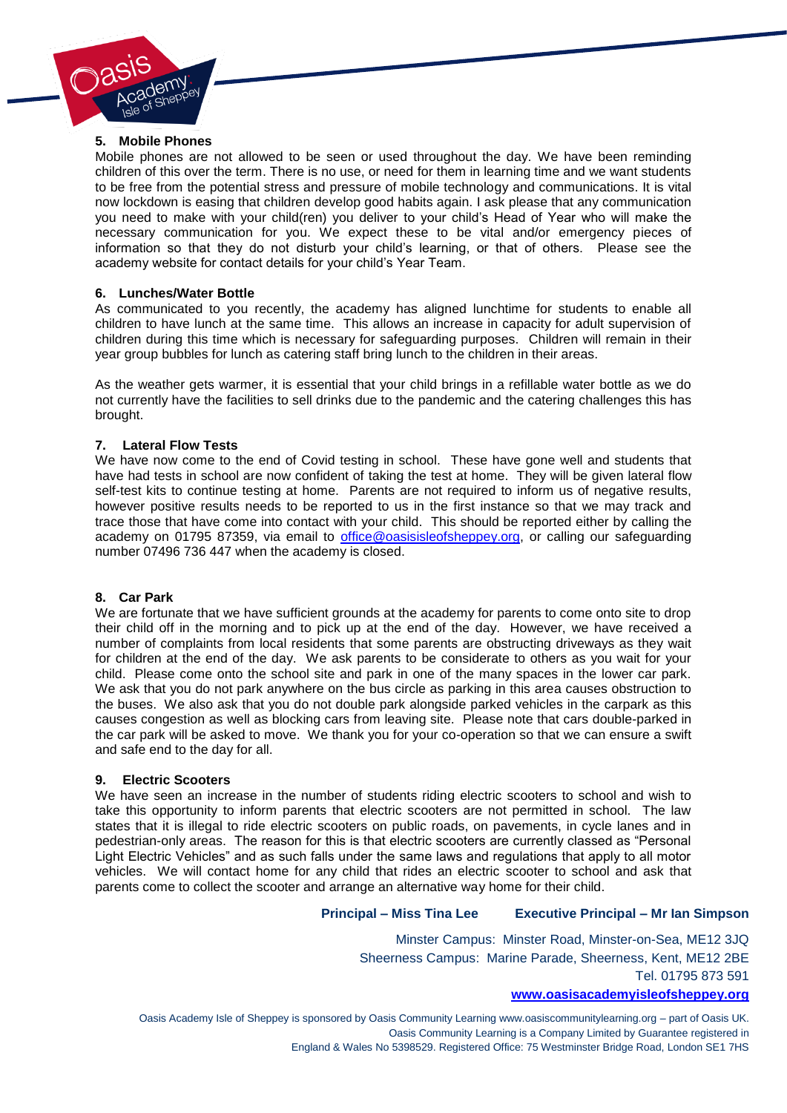

## **5. Mobile Phones**

Mobile phones are not allowed to be seen or used throughout the day. We have been reminding children of this over the term. There is no use, or need for them in learning time and we want students to be free from the potential stress and pressure of mobile technology and communications. It is vital now lockdown is easing that children develop good habits again. I ask please that any communication you need to make with your child(ren) you deliver to your child's Head of Year who will make the necessary communication for you. We expect these to be vital and/or emergency pieces of information so that they do not disturb your child's learning, or that of others. Please see the academy website for contact details for your child's Year Team.

## **6. Lunches/Water Bottle**

As communicated to you recently, the academy has aligned lunchtime for students to enable all children to have lunch at the same time. This allows an increase in capacity for adult supervision of children during this time which is necessary for safeguarding purposes. Children will remain in their year group bubbles for lunch as catering staff bring lunch to the children in their areas.

As the weather gets warmer, it is essential that your child brings in a refillable water bottle as we do not currently have the facilities to sell drinks due to the pandemic and the catering challenges this has brought.

## **7. Lateral Flow Tests**

We have now come to the end of Covid testing in school. These have gone well and students that have had tests in school are now confident of taking the test at home. They will be given lateral flow self-test kits to continue testing at home. Parents are not required to inform us of negative results, however positive results needs to be reported to us in the first instance so that we may track and trace those that have come into contact with your child. This should be reported either by calling the academy on 01795 87359, via email to [office@oasisisleofsheppey.org,](mailto:office@oasisisleofsheppey.org) or calling our safeguarding number 07496 736 447 when the academy is closed.

### **8. Car Park**

We are fortunate that we have sufficient grounds at the academy for parents to come onto site to drop their child off in the morning and to pick up at the end of the day. However, we have received a number of complaints from local residents that some parents are obstructing driveways as they wait for children at the end of the day. We ask parents to be considerate to others as you wait for your child. Please come onto the school site and park in one of the many spaces in the lower car park. We ask that you do not park anywhere on the bus circle as parking in this area causes obstruction to the buses. We also ask that you do not double park alongside parked vehicles in the carpark as this causes congestion as well as blocking cars from leaving site. Please note that cars double-parked in the car park will be asked to move. We thank you for your co-operation so that we can ensure a swift and safe end to the day for all.

### **9. Electric Scooters**

We have seen an increase in the number of students riding electric scooters to school and wish to take this opportunity to inform parents that electric scooters are not permitted in school. The law states that it is illegal to ride electric scooters on public roads, on pavements, in cycle lanes and in pedestrian-only areas. The reason for this is that electric scooters are currently classed as "Personal Light Electric Vehicles" and as such falls under the same laws and regulations that apply to all motor vehicles. We will contact home for any child that rides an electric scooter to school and ask that parents come to collect the scooter and arrange an alternative way home for their child.

# **Principal – Miss Tina Lee Executive Principal – Mr Ian Simpson**

Minster Campus: Minster Road, Minster-on-Sea, ME12 3JQ Sheerness Campus: Marine Parade, Sheerness, Kent, ME12 2BE Tel. 01795 873 591

#### **[www.oasisacademyisleofsheppey.org](http://www.oasisacademyisleofsheppey.org/)**